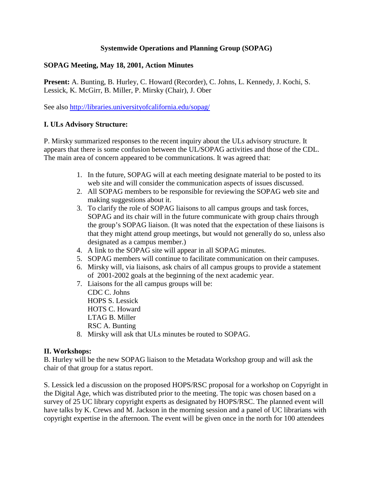### **Systemwide Operations and Planning Group (SOPAG)**

# **SOPAG Meeting, May 18, 2001, Action Minutes**

**Present:** A. Bunting, B. Hurley, C. Howard (Recorder), C. Johns, L. Kennedy, J. Kochi, S. Lessick, K. McGirr, B. Miller, P. Mirsky (Chair), J. Ober

See also http://libraries.universityofcalifornia.edu/sopag/

# **I. ULs Advisory Structure:**

P. Mirsky summarized responses to the recent inquiry about the ULs advisory structure. It appears that there is some confusion between the UL/SOPAG activities and those of the CDL. The main area of concern appeared to be communications. It was agreed that:

- 1. In the future, SOPAG will at each meeting designate material to be posted to its web site and will consider the communication aspects of issues discussed.
- 2. All SOPAG members to be responsible for reviewing the SOPAG web site and making suggestions about it.
- 3. To clarify the role of SOPAG liaisons to all campus groups and task forces, SOPAG and its chair will in the future communicate with group chairs through the group's SOPAG liaison. (It was noted that the expectation of these liaisons is that they might attend group meetings, but would not generally do so, unless also designated as a campus member.)
- 4. A link to the SOPAG site will appear in all SOPAG minutes.
- 5. SOPAG members will continue to facilitate communication on their campuses.
- 6. Mirsky will, via liaisons, ask chairs of all campus groups to provide a statement of 2001-2002 goals at the beginning of the next academic year.
- 7. Liaisons for the all campus groups will be: CDC C. Johns HOPS S. Lessick HOTS C. Howard LTAG B. Miller RSC A. Bunting 8. Mirsky will ask that ULs minutes be routed to SOPAG.

### **II. Workshops:**

B. Hurley will be the new SOPAG liaison to the Metadata Workshop group and will ask the chair of that group for a status report.

S. Lessick led a discussion on the proposed HOPS/RSC proposal for a workshop on Copyright in the Digital Age, which was distributed prior to the meeting. The topic was chosen based on a survey of 25 UC library copyright experts as designated by HOPS/RSC. The planned event will have talks by K. Crews and M. Jackson in the morning session and a panel of UC librarians with copyright expertise in the afternoon. The event will be given once in the north for 100 attendees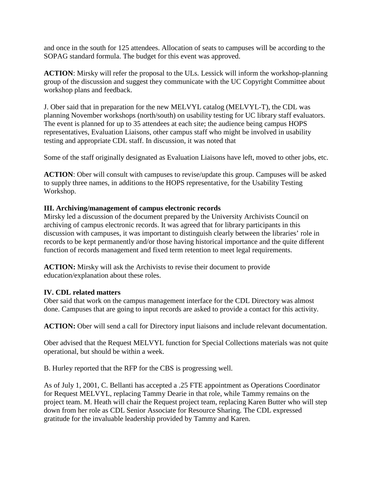and once in the south for 125 attendees. Allocation of seats to campuses will be according to the SOPAG standard formula. The budget for this event was approved.

**ACTION**: Mirsky will refer the proposal to the ULs. Lessick will inform the workshop-planning group of the discussion and suggest they communicate with the UC Copyright Committee about workshop plans and feedback.

J. Ober said that in preparation for the new MELVYL catalog (MELVYL-T), the CDL was planning November workshops (north/south) on usability testing for UC library staff evaluators. The event is planned for up to 35 attendees at each site; the audience being campus HOPS representatives, Evaluation Liaisons, other campus staff who might be involved in usability testing and appropriate CDL staff. In discussion, it was noted that

Some of the staff originally designated as Evaluation Liaisons have left, moved to other jobs, etc.

**ACTION**: Ober will consult with campuses to revise/update this group. Campuses will be asked to supply three names, in additions to the HOPS representative, for the Usability Testing Workshop.

#### **III. Archiving/management of campus electronic records**

Mirsky led a discussion of the document prepared by the University Archivists Council on archiving of campus electronic records. It was agreed that for library participants in this discussion with campuses, it was important to distinguish clearly between the libraries' role in records to be kept permanently and/or those having historical importance and the quite different function of records management and fixed term retention to meet legal requirements.

**ACTION:** Mirsky will ask the Archivists to revise their document to provide education/explanation about these roles.

### **IV. CDL related matters**

Ober said that work on the campus management interface for the CDL Directory was almost done. Campuses that are going to input records are asked to provide a contact for this activity.

**ACTION:** Ober will send a call for Directory input liaisons and include relevant documentation.

Ober advised that the Request MELVYL function for Special Collections materials was not quite operational, but should be within a week.

B. Hurley reported that the RFP for the CBS is progressing well.

As of July 1, 2001, C. Bellanti has accepted a .25 FTE appointment as Operations Coordinator for Request MELVYL, replacing Tammy Dearie in that role, while Tammy remains on the project team. M. Heath will chair the Request project team, replacing Karen Butter who will step down from her role as CDL Senior Associate for Resource Sharing. The CDL expressed gratitude for the invaluable leadership provided by Tammy and Karen.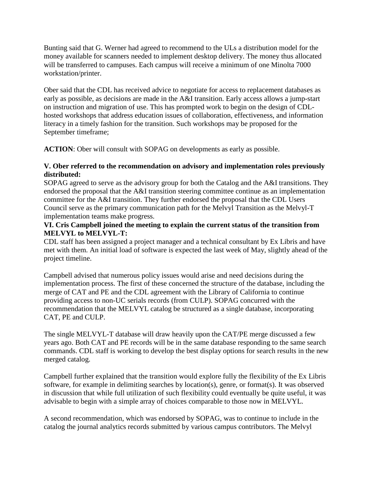Bunting said that G. Werner had agreed to recommend to the ULs a distribution model for the money available for scanners needed to implement desktop delivery. The money thus allocated will be transferred to campuses. Each campus will receive a minimum of one Minolta 7000 workstation/printer.

Ober said that the CDL has received advice to negotiate for access to replacement databases as early as possible, as decisions are made in the A&I transition. Early access allows a jump-start on instruction and migration of use. This has prompted work to begin on the design of CDLhosted workshops that address education issues of collaboration, effectiveness, and information literacy in a timely fashion for the transition. Such workshops may be proposed for the September timeframe;

**ACTION**: Ober will consult with SOPAG on developments as early as possible.

# **V. Ober referred to the recommendation on advisory and implementation roles previously distributed:**

SOPAG agreed to serve as the advisory group for both the Catalog and the A&I transitions. They endorsed the proposal that the A&I transition steering committee continue as an implementation committee for the A&I transition. They further endorsed the proposal that the CDL Users Council serve as the primary communication path for the Melvyl Transition as the Melvyl-T implementation teams make progress.

### **VI. Cris Campbell joined the meeting to explain the current status of the transition from MELVYL to MELVYL-T:**

CDL staff has been assigned a project manager and a technical consultant by Ex Libris and have met with them. An initial load of software is expected the last week of May, slightly ahead of the project timeline.

Campbell advised that numerous policy issues would arise and need decisions during the implementation process. The first of these concerned the structure of the database, including the merge of CAT and PE and the CDL agreement with the Library of California to continue providing access to non-UC serials records (from CULP). SOPAG concurred with the recommendation that the MELVYL catalog be structured as a single database, incorporating CAT, PE and CULP.

The single MELVYL-T database will draw heavily upon the CAT/PE merge discussed a few years ago. Both CAT and PE records will be in the same database responding to the same search commands. CDL staff is working to develop the best display options for search results in the new merged catalog.

Campbell further explained that the transition would explore fully the flexibility of the Ex Libris software, for example in delimiting searches by location(s), genre, or format(s). It was observed in discussion that while full utilization of such flexibility could eventually be quite useful, it was advisable to begin with a simple array of choices comparable to those now in MELVYL.

A second recommendation, which was endorsed by SOPAG, was to continue to include in the catalog the journal analytics records submitted by various campus contributors. The Melvyl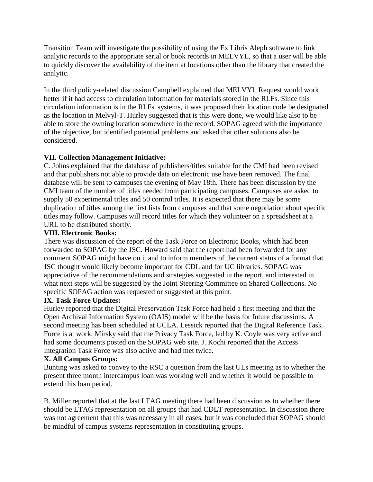Transition Team will investigate the possibility of using the Ex Libris Aleph software to link analytic records to the appropriate serial or book records in MELVYL, so that a user will be able to quickly discover the availability of the item at locations other than the library that created the analytic.

In the third policy-related discussion Campbell explained that MELVYL Request would work better if it had access to circulation information for materials stored in the RLFs. Since this circulation information is in the RLFs' systems, it was proposed their location code be designated as the location in Melvyl-T. Hurley suggested that is this were done, we would like also to be able to store the owning location somewhere in the record. SOPAG agreed with the importance of the objective, but identified potential problems and asked that other solutions also be considered.

# **VII. Collection Management Initiative:**

C. Johns explained that the database of publishers/titles suitable for the CMI had been revised and that publishers not able to provide data on electronic use have been removed. The final database will be sent to campuses the evening of May 18th. There has been discussion by the CMI team of the number of titles needed from participating campuses. Campuses are asked to supply 50 experimental titles and 50 control titles. It is expected that there may be some duplication of titles among the first lists from campuses and that some negotiation about specific titles may follow. Campuses will record titles for which they volunteer on a spreadsheet at a URL to be distributed shortly.

### **VIII. Electronic Books:**

There was discussion of the report of the Task Force on Electronic Books, which had been forwarded to SOPAG by the JSC. Howard said that the report had been forwarded for any comment SOPAG might have on it and to inform members of the current status of a format that JSC thought would likely become important for CDL and for UC libraries. SOPAG was appreciative of the recommendations and strategies suggested in the report, and interested in what next steps will be suggested by the Joint Steering Committee on Shared Collections. No specific SOPAG action was requested or suggested at this point.

### **IX. Task Force Updates:**

Hurley reported that the Digital Preservation Task Force had held a first meeting and that the Open Archival Information System (OAIS) model will be the basis for future discussions. A second meeting has been scheduled at UCLA. Lessick reported that the Digital Reference Task Force is at work. Mirsky said that the Privacy Task Force, led by K. Coyle was very active and had some documents posted on the SOPAG web site. J. Kochi reported that the Access Integration Task Force was also active and had met twice.

### **X. All Campus Groups:**

Bunting was asked to convey to the RSC a question from the last ULs meeting as to whether the present three month intercampus loan was working well and whether it would be possible to extend this loan period.

B. Miller reported that at the last LTAG meeting there had been discussion as to whether there should be LTAG representation on all groups that had CDLT representation. In discussion there was not agreement that this was necessary in all cases, but it was concluded that SOPAG should be mindful of campus systems representation in constituting groups.